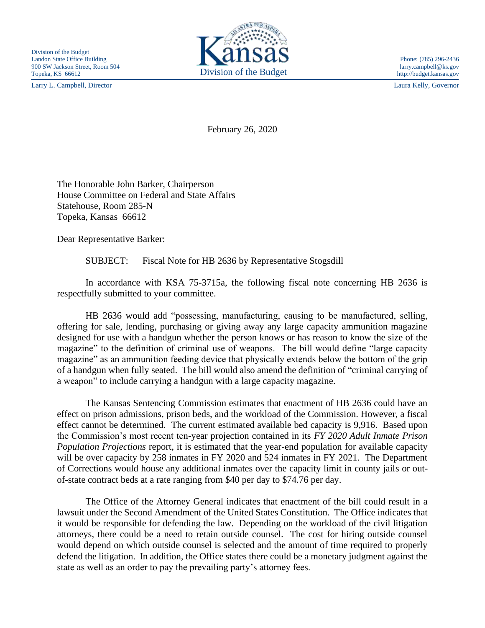Larry L. Campbell, Director Laura Kelly, Governor



http://budget.kansas.gov

February 26, 2020

The Honorable John Barker, Chairperson House Committee on Federal and State Affairs Statehouse, Room 285-N Topeka, Kansas 66612

Dear Representative Barker:

SUBJECT: Fiscal Note for HB 2636 by Representative Stogsdill

In accordance with KSA 75-3715a, the following fiscal note concerning HB 2636 is respectfully submitted to your committee.

HB 2636 would add "possessing, manufacturing, causing to be manufactured, selling, offering for sale, lending, purchasing or giving away any large capacity ammunition magazine designed for use with a handgun whether the person knows or has reason to know the size of the magazine" to the definition of criminal use of weapons. The bill would define "large capacity magazine" as an ammunition feeding device that physically extends below the bottom of the grip of a handgun when fully seated. The bill would also amend the definition of "criminal carrying of a weapon" to include carrying a handgun with a large capacity magazine.

The Kansas Sentencing Commission estimates that enactment of HB 2636 could have an effect on prison admissions, prison beds, and the workload of the Commission. However, a fiscal effect cannot be determined. The current estimated available bed capacity is 9,916. Based upon the Commission's most recent ten-year projection contained in its *FY 2020 Adult Inmate Prison Population Projections* report, it is estimated that the year-end population for available capacity will be over capacity by 258 inmates in FY 2020 and 524 inmates in FY 2021. The Department of Corrections would house any additional inmates over the capacity limit in county jails or outof-state contract beds at a rate ranging from \$40 per day to \$74.76 per day.

The Office of the Attorney General indicates that enactment of the bill could result in a lawsuit under the Second Amendment of the United States Constitution. The Office indicates that it would be responsible for defending the law. Depending on the workload of the civil litigation attorneys, there could be a need to retain outside counsel. The cost for hiring outside counsel would depend on which outside counsel is selected and the amount of time required to properly defend the litigation. In addition, the Office states there could be a monetary judgment against the state as well as an order to pay the prevailing party's attorney fees.